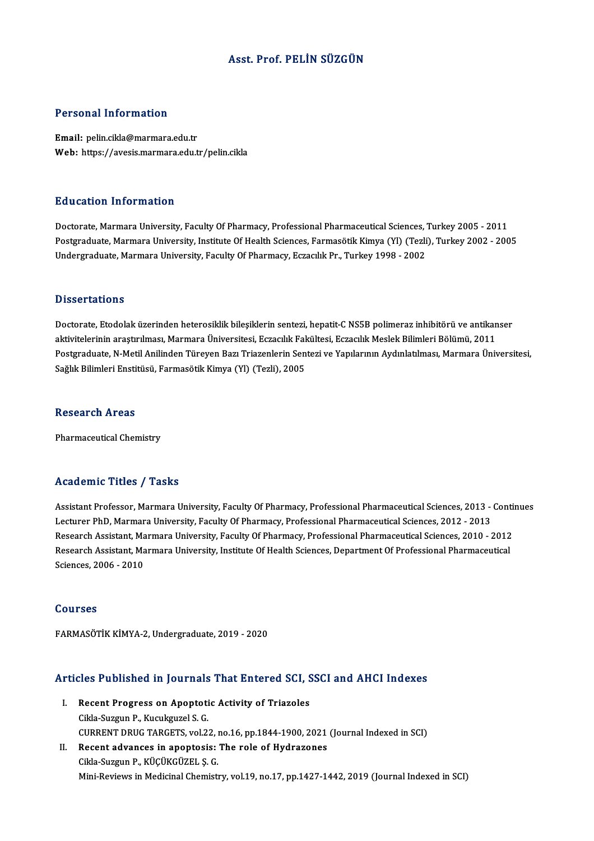# Asst. Prof. PELİN SÜZGÜN

## Personal Information

Email: pelin.cikla@marmara.edu.tr Web: https://avesis.marmara.edu.tr/pelin.cikla

### Education Information

Doctorate, Marmara University, Faculty Of Pharmacy, Professional Pharmaceutical Sciences, Turkey 2005 - 2011 Postgraduate, Marmara University, Institute Of Health Sciences, Farmasötik Kimya (Yl) (Tezli), Turkey 2002 - 2005 Undergraduate, Marmara University, Faculty Of Pharmacy, Eczacılık Pr., Turkey 1998 - 2002

### **Dissertations**

Doctorate, Etodolak üzerinden heterosiklik bileşiklerin sentezi, hepatit-CNS5B polimeraz inhibitörü ve antikanser aktivitelerinin araştırılması, Marmara Üniversitesi, Eczacılık Fakültesi, Eczacılık Meslek Bilimleri Bölümü, 2011 Doctorate, Etodolak üzerinden heterosiklik bileşiklerin sentezi, hepatit-C NS5B polimeraz inhibitörü ve antikanser<br>aktivitelerinin araştırılması, Marmara Üniversitesi, Eczacılık Fakültesi, Eczacılık Meslek Bilimleri Bölümü aktivitelerinin araştırılması, Marmara Üniversitesi, Eczacılık Fal<br>Postgraduate, N-Metil Anilinden Türeyen Bazı Triazenlerin Sen<br>Sağlık Bilimleri Enstitüsü, Farmasötik Kimya (Yl) (Tezli), 2005 Sağlık Bilimleri Enstitüsü, Farmasötik Kimya (Yl) (Tezli), 2005<br>Research Areas

Pharmaceutical Chemistry

## Academic Titles / Tasks

Academic Titles / Tasks<br>Assistant Professor, Marmara University, Faculty Of Pharmacy, Professional Pharmaceutical Sciences, 2013 - Continues<br>Lecturer PhD, Marmara University, Faculty Of Pharmacy, Professional Pharmaceutica Lecturer Pressor, Marmara University, Faculty Of Pharmacy, Professional Pharmaceutical Sciences, 2013 -<br>Lecturer PhD, Marmara University, Faculty Of Pharmacy, Professional Pharmaceutical Sciences, 2012 - 2013<br>Research Assi Assistant Professor, Marmara University, Faculty Of Pharmacy, Professional Pharmaceutical Sciences, 2013 - Conti<br>Lecturer PhD, Marmara University, Faculty Of Pharmacy, Professional Pharmaceutical Sciences, 2012 - 2013<br>Rese Lecturer PhD, Marmara University, Faculty Of Pharmacy, Professional Pharmaceutical Sciences, 2012 - 2013<br>Research Assistant, Marmara University, Faculty Of Pharmacy, Professional Pharmaceutical Sciences, 2010 - 2012<br>Resear Research Assistant, Ma<br>Research Assistant, Ma<br>Sciences, 2006 - 2010 Sciences, 2006 - 2010<br>Courses

FARMASÖTİK KİMYA-2, Undergraduate, 2019 - 2020

## Articles Published in Journals That Entered SCI, SSCI and AHCI Indexes

- **Tricles Published in Journals That Entered SCI, S**<br>I. Recent Progress on Apoptotic Activity of Triazoles<br>Cikle Syggyn B, Kugykgygel S C City Progress on Apoptoticida-Suzgun P., Kucukguzel S. G.<br>Cikla-Suzgun P., Kucukguzel S. G.<br>CUPPENT PRUC TABCETS VOL2 Cikla-Suzgun P., Kucukguzel S. G.<br>CURRENT DRUG TARGETS, vol.22, no.16, pp.1844-1900, 2021 (Journal Indexed in SCI) Cikla-Suzgun P., Kucukguzel S. G.<br>CURRENT DRUG TARGETS, vol.22, no.16, pp.1844-1900, 2021<br>II. Recent advances in apoptosis: The role of Hydrazones<br>Cikla Suzgun B. Kücükçüzel S. C
- CURRENT DRUG TARGETS, vol.22, i<br>Recent advances in apoptosis:<br>Cikla-Suzgun P., KÜÇÜKGÜZEL Ş. G.<br>Mini Boviews in Modisinal Chamisti Cikla-Suzgun P., KÜÇÜKGÜZEL Ş. G.<br>Mini-Reviews in Medicinal Chemistry, vol.19, no.17, pp.1427-1442, 2019 (Journal Indexed in SCI)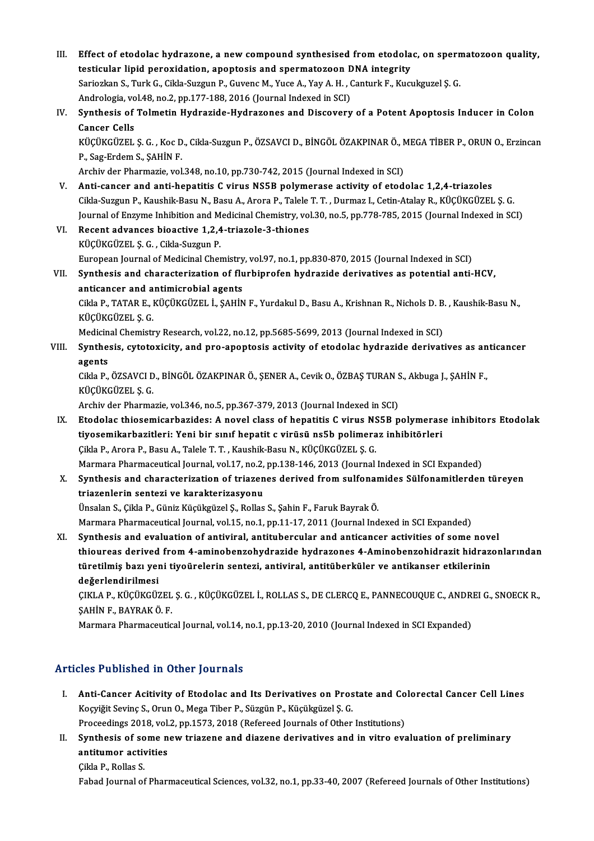III. Effect of etodolac hydrazone, a new compound synthesised from etodolac, on spermatozoon quality,<br>testisular linid perevidation, enentosis and energatorean DNA integrity. Effect of etodolac hydrazone, a new compound synthesised from etodola<br>testicular lipid peroxidation, apoptosis and spermatozoon DNA integrity<br>Seriegian S. Turk C. Gilda Suggun B. Curena M. Vuga A. Vay A. H., Canturk E. Kug Effect of etodolac hydrazone, a new compound synthesised from etodolac, on sperm<br>testicular lipid peroxidation, apoptosis and spermatozoon DNA integrity<br>Sariozkan S., Turk G., Cikla-Suzgun P., Guvenc M., Yuce A., Yay A. H. testicular lipid peroxidation, apoptosis and spermatozoon DNA integrity<br>Sariozkan S., Turk G., Cikla-Suzgun P., Guvenc M., Yuce A., Yay A. H. , Canturk F., Kucukguzel S. G. IV. Synthesis of Tolmetin Hydrazide-Hydrazones and Discovery of a Potent Apoptosis Inducer in Colon Andrologia, vol.48, no.2, pp.177-188, 2016 (Journal Indexed in SCI) Synthesis of Tolmetin Hydrazide-Hydrazones and Discovery of a Potent Apoptosis Inducer in Colon<br>Cancer Cells<br>KÜÇÜKGÜZEL Ş. G. , Koc D., Cikla-Suzgun P., ÖZSAVCI D., BİNGÖL ÖZAKPINAR Ö., MEGA TİBER P., ORUN O., Erzincan<br>B. **Cancer Cells<br>KÜÇÜKGÜZEL Ş. G. , Koc D<br>P., Sag-Erdem S., ŞAHİN F.<br>Archiv der Pharmazie vel** KÜÇÜKGÜZEL Ş. G. , Koc D., Cikla-Suzgun P., ÖZSAVCI D., BİNGÖL ÖZAKPINAR Ö., N<br>P., Sag-Erdem S., ŞAHİN F.<br>Archiv der Pharmazie, vol.348, no.10, pp.730-742, 2015 (Journal Indexed in SCI)<br>Anti-sanser and anti-banatitis C. vi P., Sag-Erdem S., ȘAHİN F.<br>Archiv der Pharmazie, vol.348, no.10, pp.730-742, 2015 (Journal Indexed in SCI)<br>V. Anti-cancer and anti-hepatitis C virus NS5B polymerase activity of etodolac 1,2,4-triazoles<br>Ciklo Suzgun B. Koye Archiv der Pharmazie, vol.348, no.10, pp.730-742, 2015 (Journal Indexed in SCI)<br>Anti-cancer and anti-hepatitis C virus NS5B polymerase activity of etodolac 1,2,4-triazoles<br>Cikla-Suzgun P., Kaushik-Basu N., Basu A., Arora P Anti-cancer and anti-hepatitis C virus NS5B polymerase activity of etodolac 1,2,4-triazoles<br>Cikla-Suzgun P., Kaushik-Basu N., Basu A., Arora P., Talele T. T. , Durmaz I., Cetin-Atalay R., KÜÇÜKGÜZEL Ş. G.<br>Journal of Enzyme Cikla-Suzgun P., Kaushik-Basu N., Basu A., Arora P., Talele T. T. , Durmaz I., Cetin-Atalay R., KÜÇÜKGÜZEL Ş. G.<br>Journal of Enzyme Inhibition and Medicinal Chemistry, vol.30, no.5, pp.778-785, 2015 (Journal Indexed in SCI) KÜÇÜKGÜZEL Ş.G. ,Cikla-SuzgunP. Recent advances bioactive 1,2,4-triazole-3-thiones<br>KÜÇÜKGÜZEL Ş. G. , Cikla-Suzgun P.<br>European Journal of Medicinal Chemistry, vol.97, no.1, pp.830-870, 2015 (Journal Indexed in SCI)<br>Synthesis and characterization of flurb VII. Synthesis and characterization of flurbiprofen hydrazide derivatives as potential anti-HCV, European Journal of Medicinal Chemistry<br>Synthesis and characterization of flu<br>anticancer and antimicrobial agents<br>Girla B. TATAR E. Küçüvçüzet i. SAHİN Cikla P., TATAR E., KÜÇÜKGÜZEL İ., ŞAHİN F., Yurdakul D., Basu A., Krishnan R., Nichols D. B. , Kaushik-Basu N.,<br>KÜÇÜKGÜZEL Ş. G. anticancer and antimicrobial agents Cikla P., TATAR E., KÜÇÜKGÜZEL İ., ŞAHİN F., Yurdakul D., Basu A., Krishnan R., Nichols D. B<br>KÜÇÜKGÜZEL Ş. G.<br>Medicinal Chemistry Research, vol.22, no.12, pp.5685-5699, 2013 (Journal Indexed in SCI)<br>Synthosis, sytetewisity VIII. Synthesis, cytotoxicity, and pro-apoptosis activity of etodolac hydrazide derivatives as anticancer agents Medicin<br>Synthe:<br>agents<br>Gilda P Synthesis, cytotoxicity, and pro-apoptosis activity of etodolac hydrazide derivatives as an<br>agents<br>Cikla P., ÖZSAVCI D., BİNGÖL ÖZAKPINAR Ö., ŞENER A., Cevik O., ÖZBAŞ TURAN S., Akbuga J., ŞAHİN F.,<br>KÜÇÜKÇÜZEL S. C <mark>agents</mark><br>Cikla P., ÖZSAVCI D<br>KÜÇÜKGÜZEL Ş. G.<br>Archiv der Pharma Cikla P., ÖZSAVCI D., BİNGÖL ÖZAKPINAR Ö., ŞENER A., Cevik O., ÖZBAŞ TURAN S.<br>KÜÇÜKGÜZEL Ş. G.<br>Archiv der Pharmazie, vol.346, no.5, pp.367-379, 2013 (Journal Indexed in SCI)<br>Etadelas thiosemiserberides: A. novel slass of b KÜÇÜKGÜZEL Ş. G.<br>Archiv der Pharmazie, vol.346, no.5, pp.367-379, 2013 (Journal Indexed in SCI)<br>IX. Etodolac thiosemicarbazides: A novel class of hepatitis C virus NS5B polymerase inhibitors Etodolak<br>tivosemikarbazitleri: Archiv der Pharmazie, vol.346, no.5, pp.367-379, 2013 (Journal Indexed in SCI)<br>Etodolac thiosemicarbazides: A novel class of hepatitis C virus NS5B polymeras<br>tiyosemikarbazitleri: Yeni bir sınıf hepatit c virüsü ns5b polim Etodolac thiosemicarbazides: A novel class of hepatitis C virus NS<br>tiyosemikarbazitleri: Yeni bir sınıf hepatit c virüsü ns5b polimera<br>Çikla P., Arora P., Basu A., Talele T.T., Kaushik-Basu N., KÜÇÜKGÜZEL Ş.G.<br>Marmara Phar tiyosemikarbazitleri: Yeni bir sınıf hepatit c virüsü ns5b polimeraz inhibitörleri<br>Çikla P., Arora P., Basu A., Talele T. T. , Kaushik-Basu N., KÜÇÜKGÜZEL Ş. G.<br>Marmara Pharmaceutical Journal, vol.17, no.2, pp.138-146, 201 Cikla P., Arora P., Basu A., Talele T. T. , Kaushik-Basu N., KÜÇÜKGÜZEL Ş. G.<br>Marmara Pharmaceutical Journal, vol.17, no.2, pp.138-146, 2013 (Journal Indexed in SCI Expanded)<br>X. Synthesis and characterization of triazenes Marmara Pharmaceutical Journal, vol.17, no.2,<br>Synthesis and characterization of triazen<br>triazenlerin sentezi ve karakterizasyonu<br>Üneelen S. Gilde B. Güniz Küçülmüzel S. Bolles Synthesis and characterization of triazenes derived from sulfonar<br>triazenlerin sentezi ve karakterizasyonu<br>Ünsalan S., Çikla P., Güniz Küçükgüzel Ş., Rollas S., Şahin F., Faruk Bayrak Ö.<br>Maymaya Phaymagautical Jaurnal val triazenlerin sentezi ve karakterizasyonu<br>Ünsalan S., Çikla P., Güniz Küçükgüzel Ş., Rollas S., Şahin F., Faruk Bayrak Ö.<br>Marmara Pharmaceutical Journal, vol.15, no.1, pp.11-17, 2011 (Journal Indexed in SCI Expanded)<br>Synthe Ünsalan S., Çikla P., Güniz Küçükgüzel Ş., Rollas S., Şahin F., Faruk Bayrak Ö.<br>Marmara Pharmaceutical Journal, vol.15, no.1, pp.11-17, 2011 (Journal Indexed in SCI Expanded)<br>XI. Synthesis and evaluation of antiviral, anti Marmara Pharmaceutical Journal, vol.15, no.1, pp.11-17, 2011 (Journal Indexed in SCI Expanded)<br>Synthesis and evaluation of antiviral, antitubercular and anticancer activities of some novel<br>thioureas derived from 4-aminoben Synthesis and evaluation of antiviral, antitubercular and anticancer activities of some nove<br>thioureas derived from 4-aminobenzohydrazide hydrazones 4-Aminobenzohidrazit hidraze<br>türetilmiş bazı yeni tiyoürelerin sentezi, a thioureas derived<br>türetilmiş bazı yeı<br>değerlendirilmesi<br>CIVI A P- VÜCÜVCÜS türetilmiş bazı yeni tiyoürelerin sentezi, antiviral, antitüberküler ve antikanser etkilerinin<br>değerlendirilmesi<br>ÇIKLA P., KÜÇÜKGÜZEL Ş. G. , KÜÇÜKGÜZEL İ., ROLLAS S., DE CLERCQ E., PANNECOUQUE C., ANDREI G., SNOECK R.,<br>SA <mark>değerlendirilmesi</mark><br>ÇIKLA P., KÜÇÜKGÜZEL<br>ŞAHİN F., BAYRAK Ö. F.<br>Marmara Pharmacqutiq ÇIKLA P., KÜÇÜKGÜZEL Ş. G. , KÜÇÜKGÜZEL İ., ROLLAS S., DE CLERCQ E., PANNECOUQUE C., ANDR.<br>ŞAHİN F., BAYRAK Ö. F.<br>Marmara Pharmaceutical Journal, vol.14, no.1, pp.13-20, 2010 (Journal Indexed in SCI Expanded) Marmara Pharmaceutical Journal, vol.14, no.1, pp.13-20, 2010 (Journal Indexed in SCI Expanded)<br>Articles Published in Other Journals

- rticles Published in Other Journals<br>I. Anti-Cancer Acitivity of Etodolac and Its Derivatives on Prostate and Colorectal Cancer Cell Lines<br>Kosvišit Savine S. Owyn O. Mess Tiber B. Süssün B. Küsülsvüsel S. C Xos 1 denoncu in Othor Journals<br>Anti-Cancer Acitivity of Etodolac and Its Derivatives on Pros<br>Koçyiğit Sevinç S., Orun O., Mega Tiber P., Süzgün P., Küçükgüzel Ş. G.<br>Proseedings 2019. vol 2. nn 1572–2019 (Pefereed Journals Anti-Cancer Acitivity of Etodolac and Its Derivatives on Prostate and Co<br>Koçyiğit Sevinç S., Orun O., Mega Tiber P., Süzgün P., Küçükgüzel Ş. G.<br>Proceedings 2018, vol.2, pp.1573, 2018 (Refereed Journals of Other Institutio Koçyiğit Sevinç S., Orun O., Mega Tiber P., Süzgün P., Küçükgüzel Ş. G.<br>Proceedings 2018, vol.2, pp.1573, 2018 (Refereed Journals of Other Institutions)<br>II. Synthesis of some new triazene and diazene derivatives and in vit
- Proceedings 2018, vol.2, pp.1573, 2018 (Refereed Journals of Other Institutions)<br>Synthesis of some new triazene and diazene derivatives and in vitro evantitumor activities<br>Cikla P., Rollas S. Synthesis of so<br>antitumor activ<br>Çikla P., Rollas S.<br>Eshad Jaumal of

Fabad Journal of Pharmaceutical Sciences, vol.32, no.1, pp.33-40, 2007 (Refereed Journals of Other Institutions)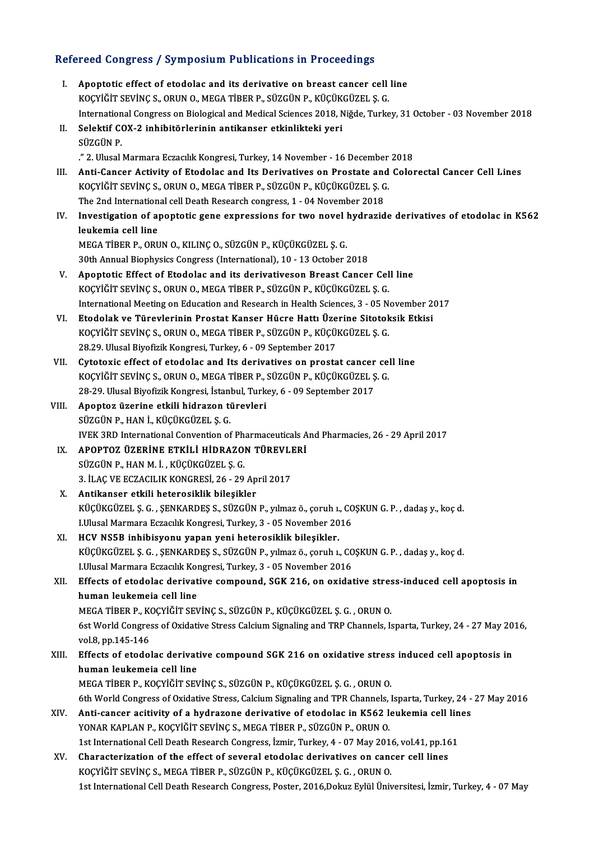# Refereed Congress / Symposium Publications in Proceedings<br>Refereed Congress / Symposium Publications in Proceedings

| Refereed Congress / Symposium Publications in Proceedings |                                                                                                                                      |
|-----------------------------------------------------------|--------------------------------------------------------------------------------------------------------------------------------------|
| L.                                                        | Apoptotic effect of etodolac and its derivative on breast cancer cell line                                                           |
|                                                           | KOÇYİĞİT SEVİNÇ S., ORUN O., MEGA TİBER P., SÜZGÜN P., KÜÇÜKGÜZEL Ş. G.                                                              |
|                                                           | International Congress on Biological and Medical Sciences 2018, Niğde, Turkey, 31 October - 03 November 2018                         |
| П.                                                        | Selektif COX-2 inhibitörlerinin antikanser etkinlikteki yeri                                                                         |
|                                                           | SÜZGÜN P                                                                                                                             |
|                                                           | ." 2. Ulusal Marmara Eczacılık Kongresi, Turkey, 14 November - 16 December 2018                                                      |
| III.                                                      | Anti-Cancer Activity of Etodolac and Its Derivatives on Prostate and Colorectal Cancer Cell Lines                                    |
|                                                           | KOÇYİĞİT SEVİNÇ S., ORUN O., MEGA TİBER P., SÜZGÜN P., KÜÇÜKGÜZEL Ş. G.                                                              |
|                                                           | The 2nd International cell Death Research congress, 1 - 04 November 2018                                                             |
| IV.                                                       | Investigation of apoptotic gene expressions for two novel hydrazide derivatives of etodolac in K562                                  |
|                                                           | leukemia cell line                                                                                                                   |
|                                                           | MEGA TİBER P., ORUN O., KILINÇ O., SÜZGÜN P., KÜÇÜKGÜZEL Ş. G.                                                                       |
|                                                           | 30th Annual Biophysics Congress (International), 10 - 13 October 2018                                                                |
| V.                                                        | Apoptotic Effect of Etodolac and its derivativeson Breast Cancer Cell line                                                           |
|                                                           | KOÇYİĞİT SEVİNÇ S., ORUN O., MEGA TİBER P., SÜZGÜN P., KÜÇÜKGÜZEL Ş. G.                                                              |
|                                                           | International Meeting on Education and Research in Health Sciences, 3 - 05 November 2017                                             |
| VI.                                                       | Etodolak ve Türevlerinin Prostat Kanser Hücre Hattı Üzerine Sitotoksik Etkisi                                                        |
|                                                           | KOÇYİĞİT SEVİNÇ S., ORUN O., MEGA TİBER P., SÜZGÜN P., KÜÇÜKGÜZEL Ş. G.                                                              |
|                                                           | 28.29. Ulusal Biyofizik Kongresi, Turkey, 6 - 09 September 2017                                                                      |
| VII.                                                      | Cytotoxic effect of etodolac and Its derivatives on prostat cancer cell line                                                         |
|                                                           | KOÇYİĞİT SEVİNÇ S., ORUN O., MEGA TİBER P., SÜZGÜN P., KÜÇÜKGÜZEL Ş. G.                                                              |
|                                                           | 28-29. Ulusal Biyofizik Kongresi, İstanbul, Turkey, 6 - 09 September 2017                                                            |
| VIII.                                                     | Apoptoz üzerine etkili hidrazon türevleri                                                                                            |
|                                                           | SÜZGÜN P., HAN İ., KÜÇÜKGÜZEL Ş. G.                                                                                                  |
| IX.                                                       | IVEK 3RD International Convention of Pharmaceuticals And Pharmacies, 26 - 29 April 2017<br>APOPTOZ ÜZERİNE ETKİLİ HİDRAZON TÜREVLERİ |
|                                                           | SÜZGÜN P., HAN M. İ., KÜÇÜKGÜZEL Ş. G.                                                                                               |
|                                                           | 3. İLAÇ VE ECZACILIK KONGRESİ, 26 - 29 April 2017                                                                                    |
|                                                           | X Antikanser etkili heterosiklik bileşikler                                                                                          |
|                                                           | KÜÇÜKGÜZEL Ş. G. , ŞENKARDEŞ S., SÜZGÜN P., yılmaz ö., çoruh ı., COŞKUN G. P. , dadaş y., koç d.                                     |
|                                                           | I.Ulusal Marmara Eczacılık Kongresi, Turkey, 3 - 05 November 2016                                                                    |
| XI.                                                       | HCV NS5B inhibisyonu yapan yeni heterosiklik bileşikler.                                                                             |
|                                                           | KÜÇÜKGÜZEL Ş. G. , ŞENKARDEŞ S., SÜZGÜN P., yılmaz ö., çoruh ı., COŞKUN G. P. , dadaş y., koç d.                                     |
|                                                           | I.Ulusal Marmara Eczacılık Kongresi, Turkey, 3 - 05 November 2016                                                                    |
| XII.                                                      | Effects of etodolac derivative compound, SGK 216, on oxidative stress-induced cell apoptosis in                                      |
|                                                           | human leukemeia cell line                                                                                                            |
|                                                           | MEGA TİBER P., KOÇYİĞİT SEVİNÇ S., SÜZGÜN P., KÜÇÜKGÜZEL Ş. G. , ORUN O.                                                             |
|                                                           | 6st World Congress of Oxidative Stress Calcium Signaling and TRP Channels, Isparta, Turkey, 24 - 27 May 2016,                        |
|                                                           | vol 8, pp 145-146                                                                                                                    |
| XIII.                                                     | Effects of etodolac derivative compound SGK 216 on oxidative stress induced cell apoptosis in                                        |
|                                                           | human leukemeia cell line                                                                                                            |
|                                                           | MEGA TİBER P., KOÇYİĞİT SEVİNÇ S., SÜZGÜN P., KÜÇÜKGÜZEL Ş. G. , ORUN O.                                                             |
|                                                           | 6th World Congress of Oxidative Stress, Calcium Signaling and TPR Channels, Isparta, Turkey, 24 - 27 May 2016                        |
| XIV.                                                      | Anti-cancer acitivity of a hydrazone derivative of etodolac in K562 leukemia cell lines                                              |
|                                                           | YONAR KAPLAN P., KOÇYİĞİT SEVİNÇ S., MEGA TİBER P., SÜZGÜN P., ORUN O.                                                               |
|                                                           | 1st International Cell Death Research Congress, İzmir, Turkey, 4 - 07 May 2016, vol.41, pp.161                                       |
| XV.                                                       | Characterization of the effect of several etodolac derivatives on cancer cell lines                                                  |
|                                                           | KOÇYİĞİT SEVİNÇ S., MEGA TİBER P., SÜZGÜN P., KÜÇÜKGÜZEL Ş. G. , ORUN O.                                                             |
|                                                           | 1st International Cell Death Research Congress, Poster, 2016, Dokuz Eylül Üniversitesi, İzmir, Turkey, 4 - 07 May                    |
|                                                           |                                                                                                                                      |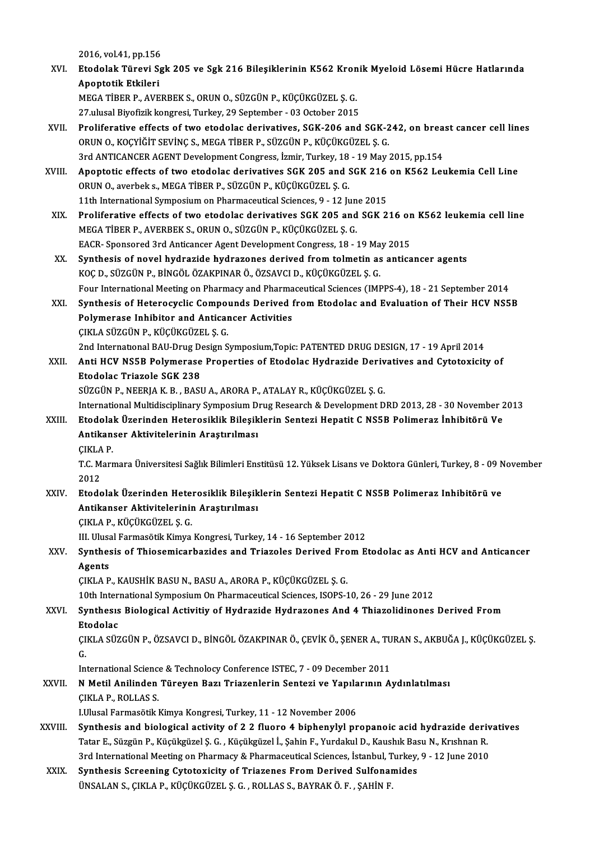2016, vol.41, pp.156<br>Ptodolak Tünevi Sa

2016, vol.41, pp.156<br>XVI. Etodolak Türevi Sgk 205 ve Sgk 216 Bileşiklerinin K562 Kronik Myeloid Lösemi Hücre Hatlarında<br>Anentetik Etkileri 2016, vol.41, pp.156<br>Etodolak Türevi S<sub>i</sub><br>Apoptotik Etkileri<br>MECA TİPER RAVE Etodolak Türevi Sgk 205 ve Sgk 216 Bileşiklerinin K562 Kron<br>Apoptotik Etkileri<br>MEGA TİBER P., AVERBEK S., ORUN O., SÜZGÜN P., KÜÇÜKGÜZEL Ş. G.<br>27 ulusal Biyefirik kansvesi Turkey, 20 Santambar, 02 Ostabar 2015

Apoptotik Etkileri<br>1972. MEGA TİBER P., AVERBEK S., ORUN O., SÜZGÜN P., KÜÇÜKGÜZEL Ş. G.<br>27.ulusal Biyofizik kongresi, Turkey, 29 September - 03 October 2015

- MEGA TİBER P., AVERBEK S., ORUN O., SÜZGÜN P., KÜÇÜKGÜZEL Ş. G.<br>27.ulusal Biyofizik kongresi, Turkey, 29 September 03 October 2015<br>XVII. Proliferative effects of two etodolac derivatives, SGK-206 and SGK-242, on breast c ORUN O., KOÇYİĞİT SEVİNÇ S., MEGA TİBER P., SÜZGÜN P., KÜÇÜKGÜZEL Ş. G.<br>3rd ANTICANCER AGENT Development Congress, İzmir, Turkey, 18 - 19 May 2015, pp.154 Proliferative effects of two etodolac derivatives, SGK-206 and SGK-242, on brea<br>ORUN O., KOÇYİĞİT SEVİNÇ S., MEGA TİBER P., SÜZGÜN P., KÜÇÜKGÜZEL Ş. G.<br>3rd ANTICANCER AGENT Development Congress, İzmir, Turkey, 18 - 19 May ORUN O., KOÇYİĞİT SEVİNÇ S., MEGA TİBER P., SÜZGÜN P., KÜÇÜKGÜZEL Ş. G.<br>3rd ANTICANCER AGENT Development Congress, İzmir, Turkey, 18 - 19 May 2015, pp.154<br>XVIII. Apoptotic effects of two etodolac derivatives SGK 205 and SG
- 3rd ANTICANCER AGENT Development Congress, İzmir, Turkey, 18<br>Apoptotic effects of two etodolac derivatives SGK 205 and SORUN O., averbek s., MEGA TİBER P., SÜZGÜN P., KÜÇÜKGÜZEL Ş.G. Apoptotic effects of two etodolac derivatives SGK 205 and SGK 216<br>ORUN O., averbek s., MEGA TIBER P., SÜZGÜN P., KÜÇÜKGÜZEL Ş. G.<br>11th International Symposium on Pharmaceutical Sciences, 9 - 12 June 2015<br>Proliferative effe 11th International Symposium on Pharmaceutical Sciences, 9 - 12 June 2015
- ORUN O., averbek s., MEGA TIBER P., SÜZGÜN P., KÜÇÜKGÜZEL Ş. G.<br>11th International Symposium on Pharmaceutical Sciences, 9 12 June 2015<br>XIX. Proliferative effects of two etodolac derivatives SGK 205 and SGK 216 on K562 l Proliferative effects of two etodolac derivatives SGK 205 and SGK 216 or<br>MEGA TİBER P., AVERBEK S., ORUN O., SÜZGÜN P., KÜÇÜKGÜZEL Ş. G.<br>EACR- Sponsored 3rd Anticancer Agent Development Congress, 18 - 19 May 2015<br>Synthesis
- XX. Synthesis of novel hydrazide hydrazones derived from tolmetin as anticancer agents<br>KOC D., SÜZGÜN P., BİNGÖL ÖZAKPINAR Ö., ÖZSAVCI D., KÜÇÜKGÜZEL Ş. G. EACR- Sponsored 3rd Anticancer Agent Development Congress, 18 - 19 Ma<br>Synthesis of novel hydrazide hydrazones derived from tolmetin as<br>KOÇ D., SÜZGÜN P., BİNGÖL ÖZAKPINAR Ö., ÖZSAVCI D., KÜÇÜKGÜZEL Ş. G.<br>Feur International Synthesis of novel hydrazide hydrazones derived from tolmetin as anticancer agents<br>KOÇ D., SÜZGÜN P., BİNGÖL ÖZAKPINAR Ö., ÖZSAVCI D., KÜÇÜKGÜZEL Ş. G.<br>Four International Meeting on Pharmacy and Pharmaceutical Sciences (IM
- XXI. Synthesis of Heterocyclic Compounds Derived from Etodolac and Evaluation of Their HCV NS5B<br>Polymerase Inhibitor and Anticancer Activities Four International Meeting on Pharmacy and Pharma<br>Synthesis of Heterocyclic Compounds Derived I<br>Polymerase Inhibitor and Anticancer Activities<br>CIVI A SÜZCÜN P. VÜCÜVCÜZEL S. C ÇIKLASÜZGÜNP.,KÜÇÜKGÜZEL Ş.G. Polymerase Inhibitor and Anticancer Activities<br>ÇIKLA SÜZGÜN P., KÜÇÜKGÜZEL Ş. G.<br>2nd International BAU-Drug Design Symposium,Topic: PATENTED DRUG DESIGN, 17 - 19 April 2014<br>Anti HCV NSER Polymerase Preperties of Etadelas H

XXII. Anti HCV NS5B Polymerase Properties of Etodolac Hydrazide Derivatives and Cytotoxicity of<br>Etodolac Triazole SGK 238 2nd International BAU-Drug De<br>Anti HCV NS5B Polymerase<br>Etodolac Triazole SGK 238<br>SÜZCÜN B. NEERLA K. B. PASI Etodolac Triazole SGK 238<br>SÜZGÜN P., NEERJA K. B. , BASU A., ARORA P., ATALAY R., KÜÇÜKGÜZEL Ş. G.<br>International Multidisciplinary Symposium Drug Research & Development DRD 2013, 28 - 30 November 2013<br>Etodolak Üzerinden He

SÜZGÜNP.,NEERJAK.B. ,BASUA.,ARORAP.,ATALAYR.,KÜÇÜKGÜZEL Ş.G.

# SÜZGÜN P., NEERJA K. B. , BASU A., ARORA P., ATALAY R., KÜÇÜKGÜZEL Ş. G.<br>International Multidisciplinary Symposium Drug Research & Development DRD 2013, 28 - 30 November 2<br>XXIII. Etodolak Üzerinden Heterosiklik Bileşikleri International Multidisciplinary Symposium D<br>Etodolak Üzerinden Heterosiklik Bileşik<br>Antikanser Aktivitelerinin Araştırılması<br>CIKLA P Etodolak Üzerinden Heterosiklik Bileşiklerin Sentezi Hepatit C NS5B Polimeraz İnhibitörü Ve<br>Antikanser Aktivitelerinin Araştırılması

Antikanser Aktivitelerinin Araştırılması<br>ÇIKLA P.<br>T.C. Marmara Üniversitesi Sağlık Bilimleri Enstitüsü 12. Yüksek Lisans ve Doktora Günleri, Turkey, 8 - 09 November ÇIKLA P.<br>T.C. Marmara Üniversitesi Sağlık Bilimleri Enstitüsü 12. Yüksek Lisans ve Doktora Günleri, Turkey, 8 - 09 M<br>2012<br>Etodolak Üzerinden Heterosiklik Bileşiklerin Sentezi Hepatit C NS5B Polimeraz Inhibitörü ve T.C. Marmara Üniversitesi Sağlık Bilimleri Enstitüsü 12. Yüksek Lisans ve Doktora Günleri, Turkey, 8 - 09 N<br>2012<br>XXIV. Etodolak Üzerinden Heterosiklik Bileşiklerin Sentezi Hepatit C NS5B Polimeraz Inhibitörü ve<br>Artikanear

# 2012<br>Etodolak Üzerinden Heterosiklik Bileşik<br>Antikanser Aktivitelerinin Araştırılması<br>CIKLA B. KÜÇÜKÇÜZELS C Etodolak Üzerinden Hete<br>Antikanser Aktivitelerinin<br>ÇIKLA P., KÜÇÜKGÜZEL Ş. G.<br>III Illusal Farmasätik Kimua Antikanser Aktivitelerinin Araştırılması<br>ÇIKLA P., KÜÇÜKGÜZEL Ş. G.<br>III. Ulusal Farmasötik Kimya Kongresi, Turkey, 14 - 16 September 2012<br>Synthesis of Thissemiserberides and Triareles Derived Erem E

# CIKLA P., KÜÇÜKGÜZEL Ş. G.<br>III. Ulusal Farmasötik Kimya Kongresi, Turkey, 14 - 16 September 2012<br>XXV. Synthesis of Thiosemicarbazides and Triazoles Derived From Etodolac as Anti HCV and Anticancer<br>Acents III. Ulusa<br>Synthes<br>Agents<br>CIVI A P Synthesis of Thiosemicarbazides and Triazoles Derived Fro<br>Agents<br>ÇIKLA P., KAUSHİK BASU N., BASU A., ARORA P., KÜÇÜKGÜZEL Ş. G.<br>10th International Sumnesium On Pharmaseutical Sciences, ISOPS 1 Agents<br>ÇIKLA P., KAUSHİK BASU N., BASU A., ARORA P., KÜÇÜKGÜZEL Ş. G.<br>10th International Symposium On Pharmaceutical Sciences, ISOPS-10, 26 - 29 June 2012<br>Synthosis Biological Astivitiv of Hydragide Hydragones And A. Thiag

# CIKLA P., KAUSHİK BASU N., BASU A., ARORA P., KÜÇÜKGÜZEL Ş. G.<br>10th International Symposium On Pharmaceutical Sciences, ISOPS-10, 26 - 29 June 2012<br>XXVI. Synthesıs Biological Activitiy of Hydrazide Hydrazones And 4 Thi 10th Inter<br>Synthesis<br>Etodolac<br>CIVI A SÜZ Synthesıs Biological Activitiy of Hydrazide Hydrazones And 4 Thiazolidinones Derived From<br>Etodolac<br>ÇIKLA SÜZGÜN P., ÖZSAVCI D., BİNGÖL ÖZAKPINAR Ö., ÇEVİK Ö., ŞENER A., TURAN S., AKBUĞA J., KÜÇÜKGÜZEL Ş.<br>C

Et<br>CI<br>In: ÇIKLA SÜZGÜN P., ÖZSAVCI D., BİNGÖL ÖZAKPINAR Ö., ÇEVİK Ö., ŞENER A., TU<br>G.<br>International Science & Technolocy Conference ISTEC, 7 - 09 December 2011<br>N.Matil Anilinden Türeyen Begı Triagenlerin Sentegi ve Yanılarının A.

# G.<br>International Science & Technolocy Conference ISTEC, 7 - 09 December 2011<br>XXVII. N Metil Anilinden Türeyen Bazı Triazenlerin Sentezi ve Yapılarının Aydınlatılması<br>CIKLA B. BOLLAS S International Science & Technolocy Conference ISTEC, 7 - 09 December 2011<br>
N Metil Anilinden Türeyen Bazı Triazenlerin Sentezi ve Yapılarının A<br>
ÇIKLA P., ROLLAS S.<br>
I.Ulusal Farmasötik Kimya Kongresi, Turkey, 11 - 12 Nove N Metil Anilinden Türeyen Bazı Triazenlerin Sentezi ve Yapıla<br>ÇIKLA P., ROLLAS S.<br>I.Ulusal Farmasötik Kimya Kongresi, Turkey, 11 - 12 November 2006<br>Synthesis and biologisal astivity of 2.2 fluene 4 binhanylyl nr

- CIKLA P., ROLLAS S.<br>I.Ulusal Farmasötik Kimya Kongresi, Turkey, 11 12 November 2006<br>XXVIII. Synthesis and biological activity of 2 2 fluoro 4 biphenylyl propanoic acid hydrazide derivatives<br>Tatar E. Süzgün B. Kügükgüzel I.Ulusal Farmasötik Kimya Kongresi, Turkey, 11 - 12 November 2006<br>Synthesis and biological activity of 2 2 fluoro 4 biphenylyl propanoic acid hydrazide deriv<br>Tatar E., Süzgün P., Küçükgüzel Ş. G. , Küçükgüzel İ., Şahin F., Synthesis and biological activity of 2 2 fluoro 4 biphenylyl propanoic acid hydrazide deriv<br>Tatar E., Süzgün P., Küçükgüzel Ş. G. , Küçükgüzel İ., Şahin F., Yurdakul D., Kaushık Basu N., Krıshnan R.<br>3rd International Meeti Tatar E., Süzgün P., Küçükgüzel Ş. G. , Küçükgüzel İ., Şahin F., Yurdakul D., Kaushık Bas<br>3rd International Meeting on Pharmacy & Pharmaceutical Sciences, İstanbul, Turkey,<br>XXIX. Synthesis Screening Cytotoxicity of Triazen
- 3rd International Meeting on Pharmacy & Pharmaceutical Sciences, İstanbul, Turkey, 9 12 June 2010<br>Synthesis Screening Cytotoxicity of Triazenes From Derived Sulfonamides<br>ÜNSALAN S., ÇIKLA P., KÜÇÜKGÜZEL Ş. G. , ROLLAS S.